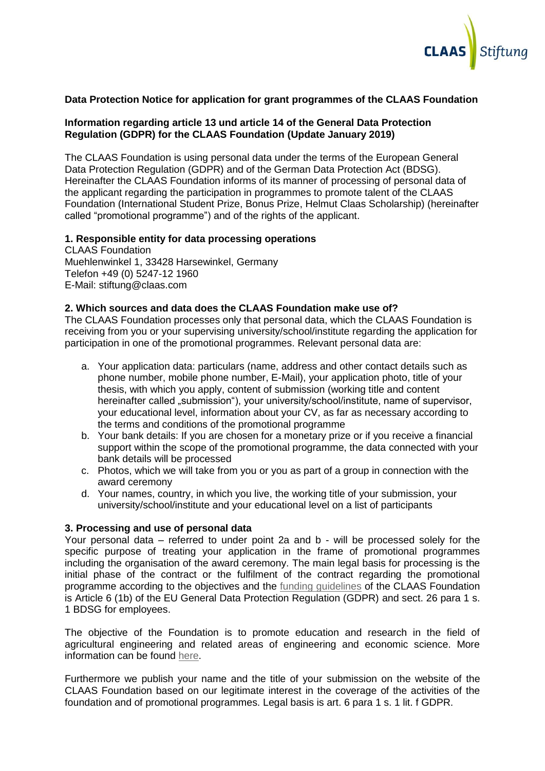

# **Data Protection Notice for application for grant programmes of the CLAAS Foundation**

## **Information regarding article 13 und article 14 of the General Data Protection Regulation (GDPR) for the CLAAS Foundation (Update January 2019)**

The CLAAS Foundation is using personal data under the terms of the European General Data Protection Regulation (GDPR) and of the German Data Protection Act (BDSG). Hereinafter the CLAAS Foundation informs of its manner of processing of personal data of the applicant regarding the participation in programmes to promote talent of the CLAAS Foundation (International Student Prize, Bonus Prize, Helmut Claas Scholarship) (hereinafter called "promotional programme") and of the rights of the applicant.

## **1. Responsible entity for data processing operations**

CLAAS Foundation Muehlenwinkel 1, 33428 Harsewinkel, Germany Telefon +49 (0) 5247-12 1960 E-Mail: stiftung@claas.com

## **2. Which sources and data does the CLAAS Foundation make use of?**

The CLAAS Foundation processes only that personal data, which the CLAAS Foundation is receiving from you or your supervising university/school/institute regarding the application for participation in one of the promotional programmes. Relevant personal data are:

- a. Your application data: particulars (name, address and other contact details such as phone number, mobile phone number, E-Mail), your application photo, title of your thesis, with which you apply, content of submission (working title and content hereinafter called "submission"), your university/school/institute, name of supervisor, your educational level, information about your CV, as far as necessary according to the terms and conditions of the promotional programme
- b. Your bank details: If you are chosen for a monetary prize or if you receive a financial support within the scope of the promotional programme, the data connected with your bank details will be processed
- c. Photos, which we will take from you or you as part of a group in connection with the award ceremony
- d. Your names, country, in which you live, the working title of your submission, your university/school/institute and your educational level on a list of participants

## **3. Processing and use of personal data**

Your personal data – referred to under point 2a and b - will be processed solely for the specific purpose of treating your application in the frame of promotional programmes including the organisation of the award ceremony. The main legal basis for processing is the initial phase of the contract or the fulfilment of the contract regarding the promotional programme according to the objectives and the [funding guidelines](https://www.claas-stiftung.de/blueprint/servlet/blob/1609500/8aca819e2f1c4569f0aee75eb387768f/funding-pdf-data.pdf) of the CLAAS Foundation is Article 6 (1b) of the EU General Data Protection Regulation (GDPR) and sect. 26 para 1 s. 1 BDSG for employees.

The objective of the Foundation is to promote education and research in the field of agricultural engineering and related areas of engineering and economic science. More information can be found [here.](https://www.claas-stiftung.de/blueprint/servlet/blob/1609500/8aca819e2f1c4569f0aee75eb387768f/funding-pdf-data.pdf)

Furthermore we publish your name and the title of your submission on the website of the CLAAS Foundation based on our legitimate interest in the coverage of the activities of the foundation and of promotional programmes. Legal basis is art. 6 para 1 s. 1 lit. f GDPR.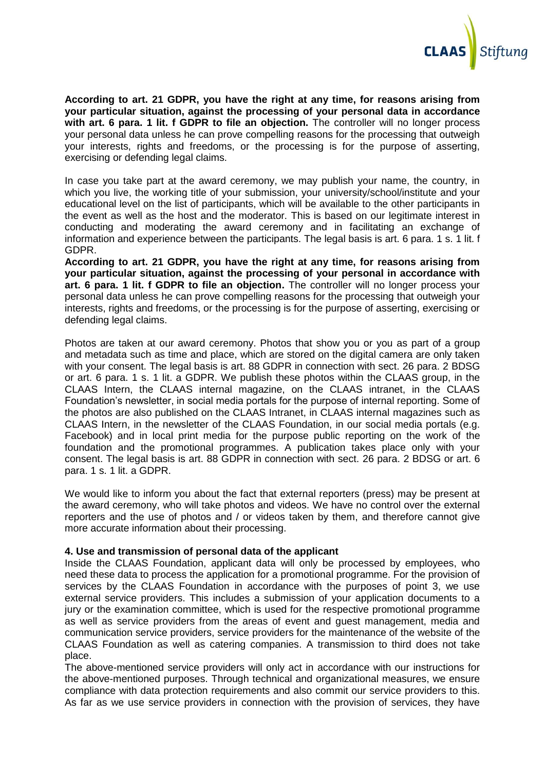

**According to art. 21 GDPR, you have the right at any time, for reasons arising from your particular situation, against the processing of your personal data in accordance with art. 6 para. 1 lit. f GDPR to file an objection.** The controller will no longer process your personal data unless he can prove compelling reasons for the processing that outweigh your interests, rights and freedoms, or the processing is for the purpose of asserting, exercising or defending legal claims.

In case you take part at the award ceremony, we may publish your name, the country, in which you live, the working title of your submission, your university/school/institute and your educational level on the list of participants, which will be available to the other participants in the event as well as the host and the moderator. This is based on our legitimate interest in conducting and moderating the award ceremony and in facilitating an exchange of information and experience between the participants. The legal basis is art. 6 para. 1 s. 1 lit. f GDPR.

**According to art. 21 GDPR, you have the right at any time, for reasons arising from your particular situation, against the processing of your personal in accordance with art. 6 para. 1 lit. f GDPR to file an objection.** The controller will no longer process your personal data unless he can prove compelling reasons for the processing that outweigh your interests, rights and freedoms, or the processing is for the purpose of asserting, exercising or defending legal claims.

Photos are taken at our award ceremony. Photos that show you or you as part of a group and metadata such as time and place, which are stored on the digital camera are only taken with your consent. The legal basis is art. 88 GDPR in connection with sect. 26 para. 2 BDSG or art. 6 para. 1 s. 1 lit. a GDPR. We publish these photos within the CLAAS group, in the CLAAS Intern, the CLAAS internal magazine, on the CLAAS intranet, in the CLAAS Foundation's newsletter, in social media portals for the purpose of internal reporting. Some of the photos are also published on the CLAAS Intranet, in CLAAS internal magazines such as CLAAS Intern, in the newsletter of the CLAAS Foundation, in our social media portals (e.g. Facebook) and in local print media for the purpose public reporting on the work of the foundation and the promotional programmes. A publication takes place only with your consent. The legal basis is art. 88 GDPR in connection with sect. 26 para. 2 BDSG or art. 6 para. 1 s. 1 lit. a GDPR.

We would like to inform you about the fact that external reporters (press) may be present at the award ceremony, who will take photos and videos. We have no control over the external reporters and the use of photos and / or videos taken by them, and therefore cannot give more accurate information about their processing.

## **4. Use and transmission of personal data of the applicant**

Inside the CLAAS Foundation, applicant data will only be processed by employees, who need these data to process the application for a promotional programme. For the provision of services by the CLAAS Foundation in accordance with the purposes of point 3, we use external service providers. This includes a submission of your application documents to a jury or the examination committee, which is used for the respective promotional programme as well as service providers from the areas of event and guest management, media and communication service providers, service providers for the maintenance of the website of the CLAAS Foundation as well as catering companies. A transmission to third does not take place.

The above-mentioned service providers will only act in accordance with our instructions for the above-mentioned purposes. Through technical and organizational measures, we ensure compliance with data protection requirements and also commit our service providers to this. As far as we use service providers in connection with the provision of services, they have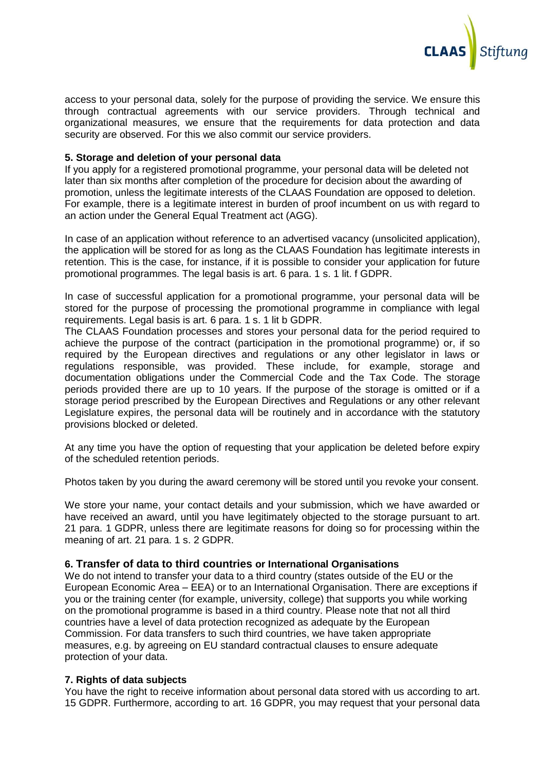

access to your personal data, solely for the purpose of providing the service. We ensure this through contractual agreements with our service providers. Through technical and organizational measures, we ensure that the requirements for data protection and data security are observed. For this we also commit our service providers.

## **5. Storage and deletion of your personal data**

If you apply for a registered promotional programme, your personal data will be deleted not later than six months after completion of the procedure for decision about the awarding of promotion, unless the legitimate interests of the CLAAS Foundation are opposed to deletion. For example, there is a legitimate interest in burden of proof incumbent on us with regard to an action under the General Equal Treatment act (AGG).

In case of an application without reference to an advertised vacancy (unsolicited application), the application will be stored for as long as the CLAAS Foundation has legitimate interests in retention. This is the case, for instance, if it is possible to consider your application for future promotional programmes. The legal basis is art. 6 para. 1 s. 1 lit. f GDPR.

In case of successful application for a promotional programme, your personal data will be stored for the purpose of processing the promotional programme in compliance with legal requirements. Legal basis is art. 6 para. 1 s. 1 lit b GDPR.

The CLAAS Foundation processes and stores your personal data for the period required to achieve the purpose of the contract (participation in the promotional programme) or, if so required by the European directives and regulations or any other legislator in laws or regulations responsible, was provided. These include, for example, storage and documentation obligations under the Commercial Code and the Tax Code. The storage periods provided there are up to 10 years. If the purpose of the storage is omitted or if a storage period prescribed by the European Directives and Regulations or any other relevant Legislature expires, the personal data will be routinely and in accordance with the statutory provisions blocked or deleted.

At any time you have the option of requesting that your application be deleted before expiry of the scheduled retention periods.

Photos taken by you during the award ceremony will be stored until you revoke your consent.

We store your name, your contact details and your submission, which we have awarded or have received an award, until you have legitimately objected to the storage pursuant to art. 21 para. 1 GDPR, unless there are legitimate reasons for doing so for processing within the meaning of art. 21 para. 1 s. 2 GDPR.

# **6. Transfer of data to third countries or International Organisations**

We do not intend to transfer your data to a third country (states outside of the EU or the European Economic Area – EEA) or to an International Organisation. There are exceptions if you or the training center (for example, university, college) that supports you while working on the promotional programme is based in a third country. Please note that not all third countries have a level of data protection recognized as adequate by the European Commission. For data transfers to such third countries, we have taken appropriate measures, e.g. by agreeing on EU standard contractual clauses to ensure adequate protection of your data.

## **7. Rights of data subjects**

You have the right to receive information about personal data stored with us according to art. 15 GDPR. Furthermore, according to art. 16 GDPR, you may request that your personal data